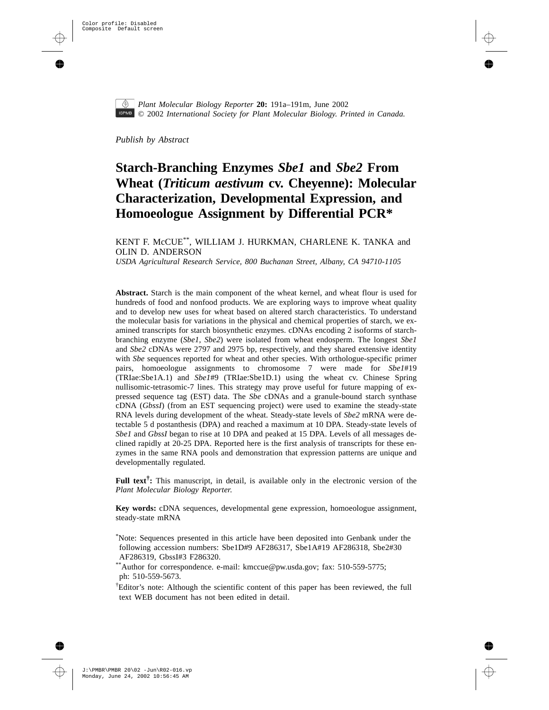

*Plant Molecular Biology Reporter* **20:** 191a–191[m,](#page-12-0) June 2002 © 2002 *International Society for Plant Molecular Biology. Printed in Canada.*

*Publish by Abstract*

# **Starch-Branching Enzymes** *Sbe1* **and** *Sbe2* **From Wheat (***Triticum aestivum* **cv. Cheyenne): Molecular Characterization, Developmental Expression, and Homoeologue Assignment by Differential PCR\***

## KENT F. McCUE\*\*, WILLIAM J. HURKMAN, CHARLENE K. TANKA and OLIN D. ANDERSON

*USDA Agricultural Research Service, 800 Buchanan Street, Albany, CA 94710-1105*

**Abstract.** Starch is the main component of the wheat kernel, and wheat flour is used for hundreds of food and nonfood products. We are exploring ways to improve wheat quality and to develop new uses for wheat based on altered starch characteristics. To understand the molecular basis for variations in the physical and chemical properties of starch, we examined transcripts for starch biosynthetic enzymes. cDNAs encoding 2 isoforms of starchbranching enzyme (*Sbe1, Sbe2*) were isolated from wheat endosperm. The longest *Sbe1* and *Sbe2* cDNAs were 2797 and 2975 bp, respectively, and they shared extensive identity with *Sbe* sequences reported for wheat and other species. With orthologue-specific primer pairs, homoeologue assignments to chromosome 7 were made for *Sbe1*#19 (TRIae:Sbe1A.1) and *Sbe1*#9 (TRIae:Sbe1D.1) using the wheat cv. Chinese Spring nullisomic-tetrasomic-7 lines. This strategy may prove useful for future mapping of expressed sequence tag (EST) data. The *Sbe* cDNAs and a granule-bound starch synthase cDNA (*GbssI*) (from an EST sequencing project) were used to examine the steady-state RNA levels during development of the wheat. Steady-state levels of *Sbe2* mRNA were detectable 5 d postanthesis (DPA) and reached a maximum at 10 DPA. Steady-state levels of *Sbe1* and *GbssI* began to rise at 10 DPA and peaked at 15 DPA. Levels of all messages declined rapidly at 20-25 DPA. Reported here is the first analysis of transcripts for these enzymes in the same RNA pools and demonstration that expression patterns are unique and developmentally regulated.

**Full text† :** This manuscript, in detail, is available only in the electronic version of the *Plant Molecular Biology Reporter*.

**Key words:** cDNA sequences, developmental gene expression, homoeologue assignment, steady-state mRNA

\* Note: Sequences presented in this article have been deposited into Genbank under the following accession numbers: Sbe1D#9 AF286317, Sbe1A#19 AF286318, Sbe2#30 AF286319, GbssI#3 F286320.

\*\*Author for correspondence. e-mail: kmccue@pw.usda.gov; fax: 510-559-5775; ph: 510-559-5673.

† Editor's note: Although the scientific content of this paper has been reviewed, the full text WEB document has not been edited in detail.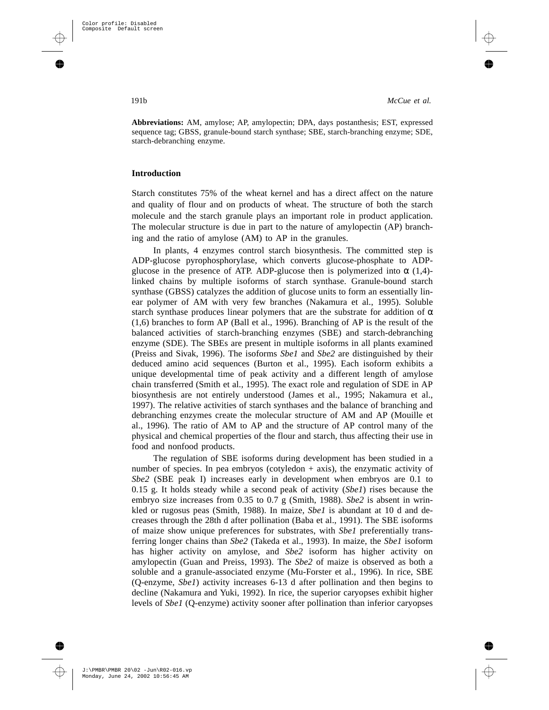**Abbreviations:** AM, amylose; AP, amylopectin; DPA, days postanthesis; EST, expressed sequence tag; GBSS, granule-bound starch synthase; SBE, starch-branching enzyme; SDE, starch-debranching enzyme.

## **Introduction**

Starch constitutes 75% of the wheat kernel and has a direct affect on the nature and quality of flour and on products of wheat. The structure of both the starch molecule and the starch granule plays an important role in product application. The molecular structure is due in part to the nature of amylopectin (AP) branching and the ratio of amylose (AM) to AP in the granules.

In plants, 4 enzymes control starch biosynthesis. The committed step is ADP-glucose pyrophosphorylase, which converts glucose-phosphate to ADPglucose in the presence of ATP. ADP-glucose then is polymerized into  $\alpha$  (1,4)linked chains by multiple isoforms of starch synthase. Granule-bound starch synthase (GBSS) catalyzes the addition of glucose units to form an essentially linear polymer of AM with very few branches (Nakamura et al., 1995). Soluble starch synthase produces linear polymers that are the substrate for addition of  $\alpha$ (1,6) branches to form AP (Ball et al., 1996). Branching of AP is the result of the balanced activities of starch-branching enzymes (SBE) and starch-debranching enzyme (SDE). The SBEs are present in multiple isoforms in all plants examined (Preiss and Sivak, 1996). The isoforms *Sbe1* and *Sbe2* are distinguished by their deduced amino acid sequences (Burton et al., 1995). Each isoform exhibits a unique developmental time of peak activity and a different length of amylose chain transferred (Smith et al., 1995). The exact role and regulation of SDE in AP biosynthesis are not entirely understood (James et al., 1995; Nakamura et al., 1997). The relative activities of starch synthases and the balance of branching and debranching enzymes create the molecular structure of AM and AP (Mouille et al., 1996). The ratio of AM to AP and the structure of AP control many of the physical and chemical properties of the flour and starch, thus affecting their use in food and nonfood products.

The regulation of SBE isoforms during development has been studied in a number of species. In pea embryos (cotyledon  $+$  axis), the enzymatic activity of *Sbe2* (SBE peak I) increases early in development when embryos are 0.1 to 0.15 g. It holds steady while a second peak of activity (*Sbe1*) rises because the embryo size increases from 0.35 to 0.7 g (Smith, 1988). *Sbe2* is absent in wrinkled or rugosus peas (Smith, 1988). In maize, *Sbe1* is abundant at 10 d and decreases through the 28th d after pollination (Baba et al., 1991). The SBE isoforms of maize show unique preferences for substrates, with *Sbe1* preferentially transferring longer chains than *Sbe2* (Takeda et al., 1993). In maize, the *Sbe1* isoform has higher activity on amylose, and *Sbe2* isoform has higher activity on amylopectin (Guan and Preiss, 1993). The *Sbe2* of maize is observed as both a soluble and a granule-associated enzyme (Mu-Forster et al., 1996). In rice, SBE (Q-enzyme, *Sbe1*) activity increases 6-13 d after pollination and then begins to decline (Nakamura and Yuki, 1992). In rice, the superior caryopses exhibit higher levels of *Sbe1* (Q-enzyme) activity sooner after pollination than inferior caryopses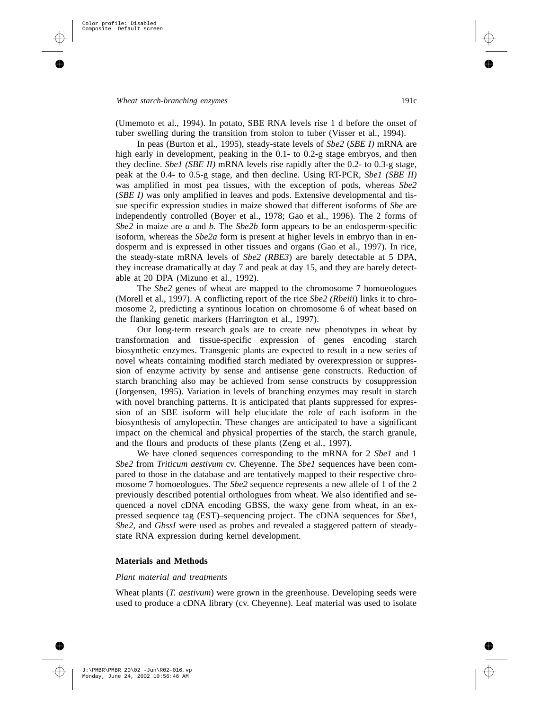(Umemoto et al., 1994). In potato, SBE RNA levels rise 1 d before the onset of tuber swelling during the transition from stolon to tuber (Visser et al., 1994).

In peas (Burton et al., 1995), steady-state levels of *Sbe2* (*SBE I)* mRNA are high early in development, peaking in the 0.1- to 0.2-g stage embryos, and then they decline. *Sbe1 (SBE II)* mRNA levels rise rapidly after the 0.2- to 0.3-g stage, peak at the 0.4- to 0.5-g stage, and then decline. Using RT-PCR, *Sbe1 (SBE II)* was amplified in most pea tissues, with the exception of pods, whereas *Sbe2* (*SBE I)* was only amplified in leaves and pods. Extensive developmental and tissue specific expression studies in maize showed that different isoforms of *Sbe* are independently controlled (Boyer et al., 1978; Gao et al., 1996). The 2 forms of *Sbe2* in maize are *a* and *b*. The *Sbe2b* form appears to be an endosperm-specific isoform, whereas the *Sbe2a* form is present at higher levels in embryo than in endosperm and is expressed in other tissues and organs (Gao et al., 1997). In rice, the steady-state mRNA levels of *Sbe2 (RBE3*) are barely detectable at 5 DPA, they increase dramatically at day 7 and peak at day 15, and they are barely detectable at 20 DPA (Mizuno et al., 1992).

The *Sbe2* genes of wheat are mapped to the chromosome 7 homoeologues (Morell et al., 1997). A conflicting report of the rice *Sbe2 (Rbeiii*) links it to chromosome 2, predicting a syntinous location on chromosome 6 of wheat based on the flanking genetic markers (Harrington et al., 1997).

Our long-term research goals are to create new phenotypes in wheat by transformation and tissue-specific expression of genes encoding starch biosynthetic enzymes. Transgenic plants are expected to result in a new series of novel wheats containing modified starch mediated by overexpression or suppression of enzyme activity by sense and antisense gene constructs. Reduction of starch branching also may be achieved from sense constructs by cosuppression (Jorgensen, 1995). Variation in levels of branching enzymes may result in starch with novel branching patterns. It is anticipated that plants suppressed for expression of an SBE isoform will help elucidate the role of each isoform in the biosynthesis of amylopectin. These changes are anticipated to have a significant impact on the chemical and physical properties of the starch, the starch granule, and the flours and products of these plants (Zeng et al., 1997).

We have cloned sequences corresponding to the mRNA for 2 *Sbe1* and 1 *Sbe2* from *Triticum aestivum* cv. Cheyenne. The *Sbe1* sequences have been compared to those in the database and are tentatively mapped to their respective chromosome 7 homoeologues. The *Sbe2* sequence represents a new allele of 1 of the 2 previously described potential orthologues from wheat. We also identified and sequenced a novel cDNA encoding GBSS, the waxy gene from wheat, in an expressed sequence tag (EST)–sequencing project. The cDNA sequences for *Sbe1*, *Sbe2,* and *GbssI* were used as probes and revealed a staggered pattern of steadystate RNA expression during kernel development.

## **Materials and Methods**

#### *Plant material and treatments*

Wheat plants (*T. aestivum*) were grown in the greenhouse. Developing seeds were used to produce a cDNA library (cv. Cheyenne). Leaf material was used to isolate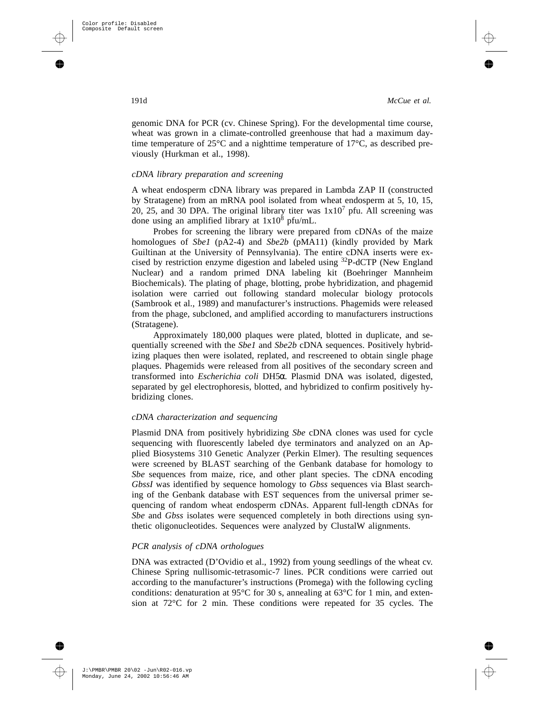genomic DNA for PCR (cv. Chinese Spring). For the developmental time course, wheat was grown in a climate-controlled greenhouse that had a maximum daytime temperature of  $25^{\circ}$ C and a nighttime temperature of  $17^{\circ}$ C, as described previously (Hurkman et al., 1998).

#### *cDNA library preparation and screening*

A wheat endosperm cDNA library was prepared in Lambda ZAP II (constructed by Stratagene) from an mRNA pool isolated from wheat endosperm at 5, 10, 15, 20, 25, and 30 DPA. The original library titer was  $1x10<sup>7</sup>$  pfu. All screening was done using an amplified library at  $1x10^8$  pfu/mL.

Probes for screening the library were prepared from cDNAs of the maize homologues of *Sbe1* (pA2-4) and *Sbe2b* (pMA11) (kindly provided by Mark Guiltinan at the University of Pennsylvania). The entire cDNA inserts were excised by restriction enzyme digestion and labeled using 32P-dCTP (New England Nuclear) and a random primed DNA labeling kit (Boehringer Mannheim Biochemicals). The plating of phage, blotting, probe hybridization, and phagemid isolation were carried out following standard molecular biology protocols (Sambrook et al., 1989) and manufacturer's instructions. Phagemids were released from the phage, subcloned, and amplified according to manufacturers instructions (Stratagene).

Approximately 180,000 plaques were plated, blotted in duplicate, and sequentially screened with the *Sbe1* and *Sbe2b* cDNA sequences. Positively hybridizing plaques then were isolated, replated, and rescreened to obtain single phage plaques. Phagemids were released from all positives of the secondary screen and transformed into *Escherichia coli* DH5α. Plasmid DNA was isolated, digested, separated by gel electrophoresis, blotted, and hybridized to confirm positively hybridizing clones.

## *cDNA characterization and sequencing*

Plasmid DNA from positively hybridizing *Sbe* cDNA clones was used for cycle sequencing with fluorescently labeled dye terminators and analyzed on an Applied Biosystems 310 Genetic Analyzer (Perkin Elmer). The resulting sequences were screened by BLAST searching of the Genbank database for homology to *Sbe* sequences from maize, rice, and other plant species. The cDNA encoding *GbssI* was identified by sequence homology to *Gbss* sequences via Blast searching of the Genbank database with EST sequences from the universal primer sequencing of random wheat endosperm cDNAs. Apparent full-length cDNAs for *Sbe* and *Gbss* isolates were sequenced completely in both directions using synthetic oligonucleotides. Sequences were analyzed by ClustalW alignments.

## *PCR analysis of cDNA orthologues*

DNA was extracted (D'Ovidio et al., 1992) from young seedlings of the wheat cv. Chinese Spring nullisomic-tetrasomic-7 lines. PCR conditions were carried out according to the manufacturer's instructions (Promega) with the following cycling conditions: denaturation at 95 $\rm{^{\circ}C}$  for 30 s, annealing at 63 $\rm{^{\circ}C}$  for 1 min, and extension at 72°C for 2 min. These conditions were repeated for 35 cycles. The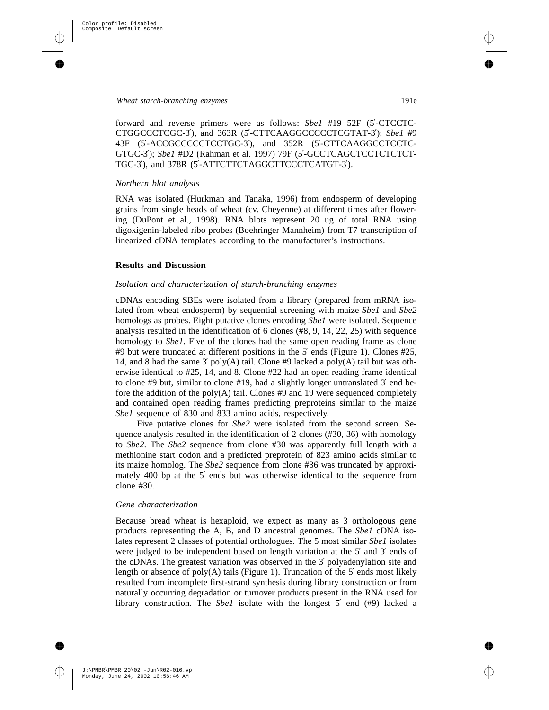forward and reverse primers were as follows: *Sbe1* #19 52F (5′-CTCCTC-CTGGCCCTCGC-3′), and 363R (5′-CTTCAAGGCCCCCTCGTAT-3′); *Sbe1* #9 43F (5′-ACCGCCCCCTCCTGC-3′), and 352R (5′-CTTCAAGGCCTCCTC-GTGC-3'); Sbe1 #D2 (Rahman et al. 1997) 79F (5'-GCCTCAGCTCCTCTCTCT-TGC-3′), and 378R (5′-ATTCTTCTAGGCTTCCCTCATGT-3′).

## *Northern blot analysis*

RNA was isolated (Hurkman and Tanaka, 1996) from endosperm of developing grains from single heads of wheat (cv. Cheyenne) at different times after flowering (DuPont et al., 1998). RNA blots represent 20 ug of total RNA using digoxigenin-labeled ribo probes (Boehringer Mannheim) from T7 transcription of linearized cDNA templates according to the manufacturer's instructions.

#### **Results and Discussion**

#### *Isolation and characterization of starch-branching enzymes*

cDNAs encoding SBEs were isolated from a library (prepared from mRNA isolated from wheat endosperm) by sequential screening with maize *Sbe1* and *Sbe2* homologs as probes. Eight putative clones encoding *Sbe1* were isolated. Sequence analysis resulted in the identification of 6 clones (#8, 9, 14, 22, 25) with sequence homology to *Sbe1*. Five of the clones had the same open reading frame as clone #9 but were truncated at different positions in the 5′ ends (Figure 1). Clones #25, 14, and 8 had the same 3' poly(A) tail. Clone #9 lacked a poly(A) tail but was otherwise identical to #25, 14, and 8. Clone #22 had an open reading frame identical to clone #9 but, similar to clone #19, had a slightly longer untranslated  $3'$  end before the addition of the poly $(A)$  tail. Clones #9 and 19 were sequenced completely and contained open reading frames predicting preproteins similar to the maize *Sbe1* sequence of 830 and 833 amino acids, respectively.

Five putative clones for *Sbe2* were isolated from the second screen. Sequence analysis resulted in the identification of 2 clones (#30, 36) with homology to *Sbe2*. The *Sbe2* sequence from clone #30 was apparently full length with a methionine start codon and a predicted preprotein of 823 amino acids similar to its maize homolog. The *Sbe2* sequence from clone #36 was truncated by approximately 400 bp at the 5′ ends but was otherwise identical to the sequence from clone #30.

#### *Gene characterization*

Because bread wheat is hexaploid, we expect as many as 3 orthologous gene products representing the A, B, and D ancestral genomes. The *Sbe1* cDNA isolates represent 2 classes of potential orthologues. The 5 most similar *Sbe1* isolates were judged to be independent based on length variation at the 5′ and 3′ ends of the cDNAs. The greatest variation was observed in the 3′ polyadenylation site and length or absence of poly $(A)$  tails (Figure 1). Truncation of the 5' ends most likely resulted from incomplete first-strand synthesis during library construction or from naturally occurring degradation or turnover products present in the RNA used for library construction. The *Sbe1* isolate with the longest 5′ end (#9) lacked a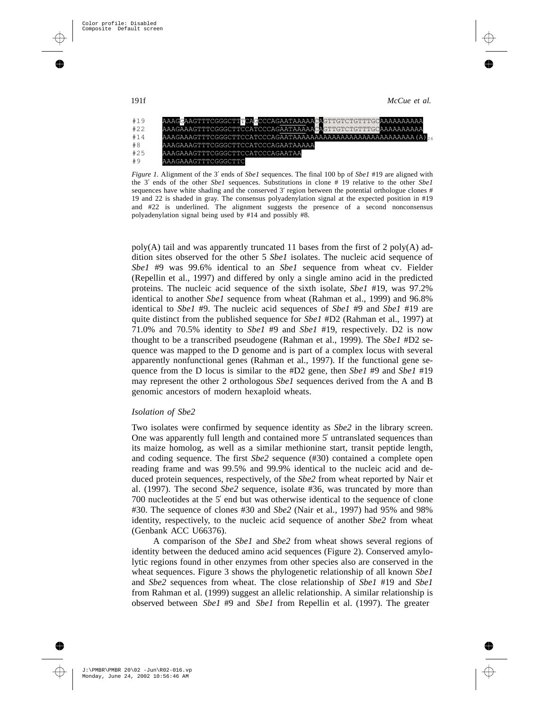

*Figure 1.* Alignment of the 3′ ends of *Sbe1* sequences. The final 100 bp of *Sbe1* #19 are aligned with the 3′ ends of the other *Sbe1* sequences. Substitutions in clone # 19 relative to the other *Sbe1* sequences have white shading and the conserved 3' region between the potential orthologue clones # 19 and 22 is shaded in gray. The consensus polyadenylation signal at the expected position in #19 and #22 is underlined. The alignment suggests the presence of a second nonconsensus polyadenylation signal being used by #14 and possibly #8.

 $poly(A)$  tail and was apparently truncated 11 bases from the first of 2 poly(A) addition sites observed for the other 5 *Sbe1* isolates. The nucleic acid sequence of *Sbe1* #9 was 99.6% identical to an *Sbe1* sequence from wheat cv. Fielder (Repellin et al., 1997) and differed by only a single amino acid in the predicted proteins. The nucleic acid sequence of the sixth isolate, *Sbe1* #19, was 97.2% identical to another *Sbe1* sequence from wheat (Rahman et al., 1999) and 96.8% identical to *Sbe1* #9. The nucleic acid sequences of *Sbe1* #9 and *Sbe1* #19 are quite distinct from the published sequence for *Sbe1* #D2 (Rahman et al., 1997) at 71.0% and 70.5% identity to *Sbe1* #9 and *Sbe1* #19, respectively. D2 is now thought to be a transcribed pseudogene (Rahman et al., 1999). The *Sbe1* #D2 sequence was mapped to the D genome and is part of a complex locus with several apparently nonfunctional genes (Rahman et al., 1997). If the functional gene sequence from the D locus is similar to the #D2 gene, then *Sbe1* #9 and *Sbe1* #19 may represent the other 2 orthologous *Sbe1* sequences derived from the A and B genomic ancestors of modern hexaploid wheats.

#### *Isolation of Sbe2*

Two isolates were confirmed by sequence identity as *Sbe2* in the library screen. One was apparently full length and contained more 5′ untranslated sequences than its maize homolog, as well as a similar methionine start, transit peptide length, and coding sequence. The first *Sbe2* sequence (#30) contained a complete open reading frame and was 99.5% and 99.9% identical to the nucleic acid and deduced protein sequences, respectively, of the *Sbe2* from wheat reported by Nair et al. (1997). The second *Sbe2* sequence, isolate #36, was truncated by more than 700 nucleotides at the 5′ end but was otherwise identical to the sequence of clone #30. The sequence of clones #30 and *Sbe2* (Nair et al., 1997) had 95% and 98% identity, respectively, to the nucleic acid sequence of another *Sbe2* from wheat (Genbank ACC U66376).

A comparison of the *Sbe1* and *Sbe2* from wheat shows several regions of identity between the deduced amino acid sequences (Figure 2). Conserved amylolytic regions found in other enzymes from other species also are conserved in the wheat sequences. Figure 3 shows the phylogenetic relationship of all known *Sbe1* and *Sbe2* sequences from wheat. The close relationship of *Sbe1* #19 and *Sbe1* from Rahman et al. (1999) suggest an allelic relationship. A similar relationship is observed between *Sbe1* #9 and *Sbe1* from Repellin et al. (1997). The greater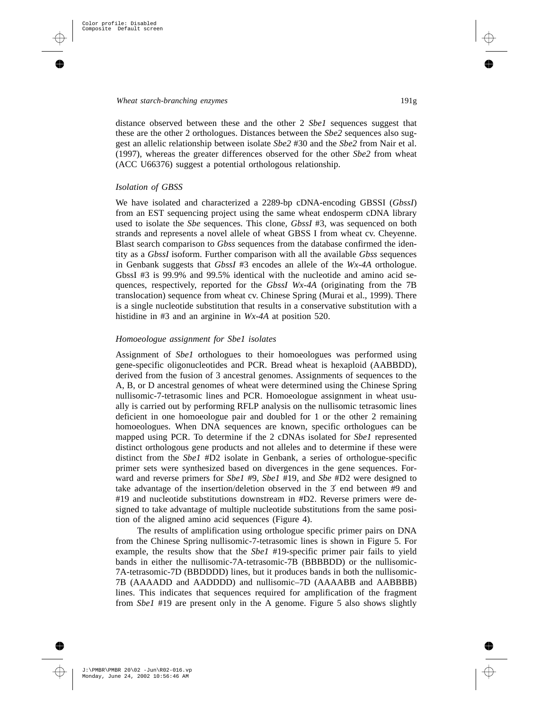distance observed between these and the other 2 *Sbe1* sequences suggest that these are the other 2 orthologues. Distances between the *Sbe2* sequences also suggest an allelic relationship between isolate *Sbe2* #30 and the *Sbe2* from Nair et al. (1997), whereas the greater differences observed for the other *Sbe2* from wheat (ACC U66376) suggest a potential orthologous relationship.

#### *Isolation of GBSS*

We have isolated and characterized a 2289-bp cDNA-encoding GBSSI (*GbssI*) from an EST sequencing project using the same wheat endosperm cDNA library used to isolate the *Sbe* sequences. This clone, *GbssI* #3, was sequenced on both strands and represents a novel allele of wheat GBSS I from wheat cv. Cheyenne. Blast search comparison to *Gbss* sequences from the database confirmed the identity as a *GbssI* isoform. Further comparison with all the available *Gbss* sequences in Genbank suggests that *GbssI* #3 encodes an allele of the *Wx-4A* orthologue. GbssI #3 is 99.9% and 99.5% identical with the nucleotide and amino acid sequences, respectively, reported for the *GbssI Wx-4A* (originating from the 7B translocation) sequence from wheat cv. Chinese Spring (Murai et al., 1999). There is a single nucleotide substitution that results in a conservative substitution with a histidine in #3 and an arginine in *Wx-4A* at position 520.

## *Homoeologue assignment for Sbe1 isolates*

Assignment of *Sbe1* orthologues to their homoeologues was performed using gene-specific oligonucleotides and PCR. Bread wheat is hexaploid (AABBDD), derived from the fusion of 3 ancestral genomes. Assignments of sequences to the A, B, or D ancestral genomes of wheat were determined using the Chinese Spring nullisomic-7-tetrasomic lines and PCR. Homoeologue assignment in wheat usually is carried out by performing RFLP analysis on the nullisomic tetrasomic lines deficient in one homoeologue pair and doubled for 1 or the other 2 remaining homoeologues. When DNA sequences are known, specific orthologues can be mapped using PCR. To determine if the 2 cDNAs isolated for *Sbe1* represented distinct orthologous gene products and not alleles and to determine if these were distinct from the *Sbe1* #D2 isolate in Genbank, a series of orthologue-specific primer sets were synthesized based on divergences in the gene sequences. Forward and reverse primers for *Sbe1* #9, *Sbe1* #19, and *Sbe* #D2 were designed to take advantage of the insertion/deletion observed in the 3′ end between #9 and #19 and nucleotide substitutions downstream in #D2. Reverse primers were designed to take advantage of multiple nucleotide substitutions from the same position of the aligned amino acid sequences (Figure 4).

The results of amplification using orthologue specific primer pairs on DNA from the Chinese Spring nullisomic-7-tetrasomic lines is shown in Figure 5. For example, the results show that the *Sbe1* #19-specific primer pair fails to yield bands in either the nullisomic-7A-tetrasomic-7B (BBBBDD) or the nullisomic-7A-tetrasomic-7D (BBDDDD) lines, but it produces bands in both the nullisomic-7B (AAAADD and AADDDD) and nullisomic–7D (AAAABB and AABBBB) lines. This indicates that sequences required for amplification of the fragment from *Sbe1* #19 are present only in the A genome. Figure 5 also shows slightly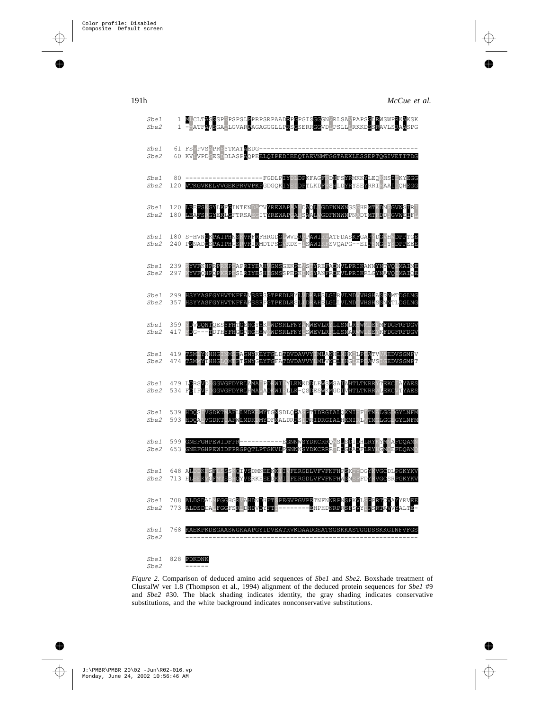

*Figure 2.* Comparison of deduced amino acid sequences of *Sbe1* and *Sbe2*. Boxshade treatment of ClustalW ver 1.8 (Thompson et al., 1994) alignment of the deduced protein sequences for *Sbe1* #9 and *Sbe2* #30. The black shading indicates identity, the gray shading indicates conservative substitutions, and the white background indicates nonconservative substitutions.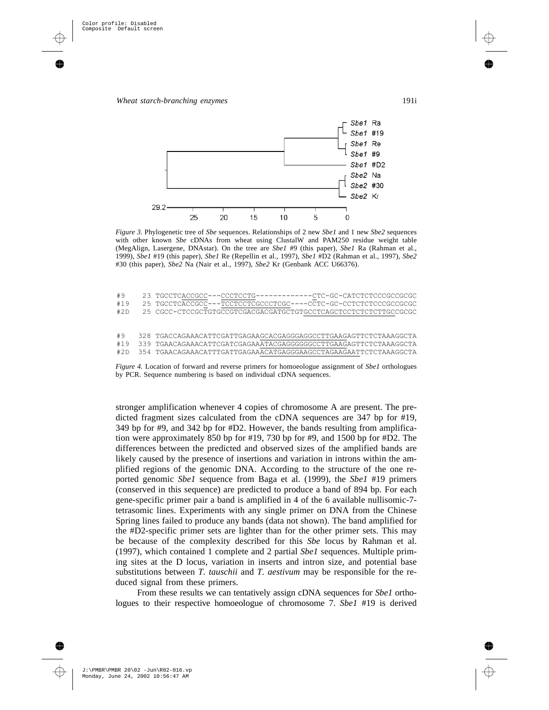

*Figure 3.* Phylogenetic tree of *Sbe* sequences. Relationships of 2 new *Sbe1* and 1 new *Sbe2* sequences with other known *Sbe* cDNAs from wheat using ClustalW and PAM250 residue weight table (MegAlign, Lasergene, DNAstar). On the tree are *Sbe1* #9 (this paper), *Sbe1* Ra (Rahman et al., 1999), *Sbe1* #19 (this paper), *Sbe1* Re (Repellin et al., 1997), *Sbe1* #D2 (Rahman et al., 1997), *Sbe2* #30 (this paper), *Sbe2* Na (Nair et al., 1997), *Sbe2* Kr (Genbank ACC U66376).

| #9  | 23 TGCCTCACCGCC---CCCTCCTG------------CTC-GC-CATCTCTCCCGCCGCG    |
|-----|------------------------------------------------------------------|
| #19 | 25 TGCCTCACCGCC---TCCTCCTCGCCCTCGC----CCTC-GC-CCTCTCTCCCGCCGCGC  |
| #2D | 25 CGCC-CTCCGCTGTGCCGTCGACGACGATGCTGTGCCTCAGCTCCTCTCTTTGCCGCGC   |
|     |                                                                  |
|     |                                                                  |
| #9  | 328 TGACCAGAAACATTCGATTGAGAAGCACGAGGGAGGCCTTGAAGAGTTCTCTAAAGGCTA |
| #19 | 339 TGAACAGAAACATTCGATCGAGAAATACGAGGGGGCCCTTGAAGAGTTCTCTAAAGGCTA |
| #2D | 354 TGAACAGAAACATTTGATTGAGAAACATGAGGGAAGCCTAGAAGAATTCTCTAAAGGCTA |

*Figure 4.* Location of forward and reverse primers for homoeologue assignment of *Sbe1* orthologues by PCR. Sequence numbering is based on individual cDNA sequences.

stronger amplification whenever 4 copies of chromosome A are present. The predicted fragment sizes calculated from the cDNA sequences are 347 bp for #19, 349 bp for #9, and 342 bp for #D2. However, the bands resulting from amplification were approximately 850 bp for #19, 730 bp for #9, and 1500 bp for #D2. The differences between the predicted and observed sizes of the amplified bands are likely caused by the presence of insertions and variation in introns within the amplified regions of the genomic DNA. According to the structure of the one reported genomic *Sbe1* sequence from Baga et al. (1999), the *Sbe1* #19 primers (conserved in this sequence) are predicted to produce a band of 894 bp. For each gene-specific primer pair a band is amplified in 4 of the 6 available nullisomic-7 tetrasomic lines. Experiments with any single primer on DNA from the Chinese Spring lines failed to produce any bands (data not shown). The band amplified for the #D2-specific primer sets are lighter than for the other primer sets. This may be because of the complexity described for this *Sbe* locus by Rahman et al. (1997), which contained 1 complete and 2 partial *Sbe1* sequences. Multiple priming sites at the D locus, variation in inserts and intron size, and potential base substitutions between *T. tauschii* and *T. aestivum* may be responsible for the reduced signal from these primers.

From these results we can tentatively assign cDNA sequences for *Sbe1* orthologues to their respective homoeologue of chromosome 7. *Sbe1* #19 is derived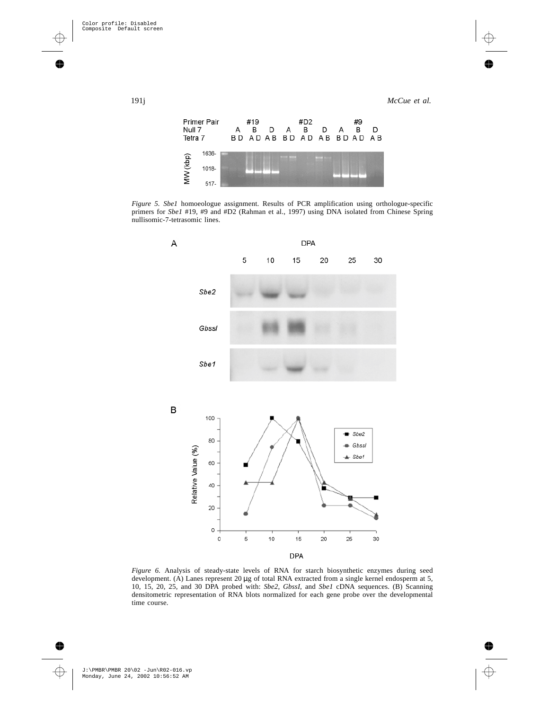

*Figure 5. Sbe1* homoeologue assignment. Results of PCR amplification using orthologue-specific primers for *Sbe1* #19, #9 and #D2 (Rahman et al., 1997) using DNA isolated from Chinese Spring nullisomic-7-tetrasomic lines.



*Figure 6.* Analysis of steady-state levels of RNA for starch biosynthetic enzymes during seed development. (A) Lanes represent 20 µg of total RNA extracted from a single kernel endosperm at 5, 10, 15, 20, 25, and 30 DPA probed with: *Sbe2*, *GbssI*, and *Sbe1* cDNA sequences. (B) Scanning densitometric representation of RNA blots normalized for each gene probe over the developmental time course.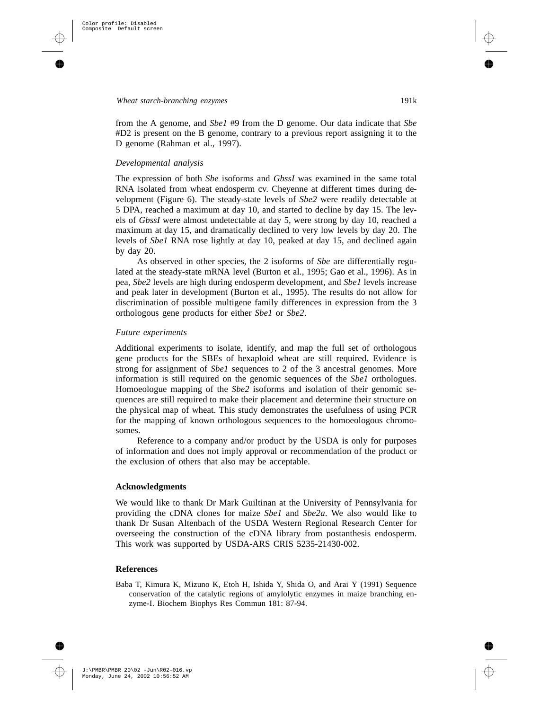from the A genome, and *Sbe1* #9 from the D genome. Our data indicate that *Sbe* #D2 is present on the B genome, contrary to a previous report assigning it to the D genome (Rahman et al., 1997).

## *Developmental analysis*

The expression of both *Sbe* isoforms and *GbssI* was examined in the same total RNA isolated from wheat endosperm cv. Cheyenne at different times during development (Figure 6). The steady-state levels of *Sbe2* were readily detectable at 5 DPA, reached a maximum at day 10, and started to decline by day 15. The levels of *GbssI* were almost undetectable at day 5, were strong by day 10, reached a maximum at day 15, and dramatically declined to very low levels by day 20. The levels of *Sbe1* RNA rose lightly at day 10, peaked at day 15, and declined again by day 20.

As observed in other species, the 2 isoforms of *Sbe* are differentially regulated at the steady-state mRNA level (Burton et al., 1995; Gao et al., 1996). As in pea, *Sbe2* levels are high during endosperm development, and *Sbe1* levels increase and peak later in development (Burton et al., 1995). The results do not allow for discrimination of possible multigene family differences in expression from the 3 orthologous gene products for either *Sbe1* or *Sbe2*.

## *Future experiments*

Additional experiments to isolate, identify, and map the full set of orthologous gene products for the SBEs of hexaploid wheat are still required. Evidence is strong for assignment of *Sbe1* sequences to 2 of the 3 ancestral genomes. More information is still required on the genomic sequences of the *Sbe1* orthologues. Homoeologue mapping of the *Sbe2* isoforms and isolation of their genomic sequences are still required to make their placement and determine their structure on the physical map of wheat. This study demonstrates the usefulness of using PCR for the mapping of known orthologous sequences to the homoeologous chromosomes.

Reference to a company and/or product by the USDA is only for purposes of information and does not imply approval or recommendation of the product or the exclusion of others that also may be acceptable.

### **Acknowledgments**

We would like to thank Dr Mark Guiltinan at the University of Pennsylvania for providing the cDNA clones for maize *Sbe1* and *Sbe2a*. We also would like to thank Dr Susan Altenbach of the USDA Western Regional Research Center for overseeing the construction of the cDNA library from postanthesis endosperm. This work was supported by USDA-ARS CRIS 5235-21430-002.

#### **References**

Baba T, Kimura K, Mizuno K, Etoh H, Ishida Y, Shida O, and Arai Y (1991) Sequence conservation of the catalytic regions of amylolytic enzymes in maize branching enzyme-I. Biochem Biophys Res Commun 181: 87-94.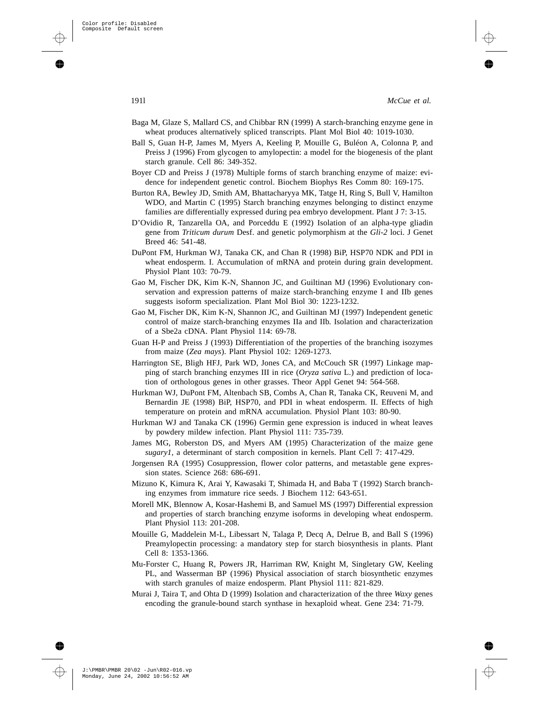- Baga M, Glaze S, Mallard CS, and Chibbar RN (1999) A starch-branching enzyme gene in wheat produces alternatively spliced transcripts. Plant Mol Biol 40: 1019-1030.
- Ball S, Guan H-P, James M, Myers A, Keeling P, Mouille G, Buléon A, Colonna P, and Preiss J (1996) From glycogen to amylopectin: a model for the biogenesis of the plant starch granule. Cell 86: 349-352.
- Boyer CD and Preiss J (1978) Multiple forms of starch branching enzyme of maize: evidence for independent genetic control. Biochem Biophys Res Comm 80: 169-175.
- Burton RA, Bewley JD, Smith AM, Bhattacharyya MK, Tatge H, Ring S, Bull V, Hamilton WDO, and Martin C (1995) Starch branching enzymes belonging to distinct enzyme families are differentially expressed during pea embryo development. Plant J 7: 3-15.
- D'Ovidio R, Tanzarella OA, and Porceddu E (1992) Isolation of an alpha-type gliadin gene from *Triticum durum* Desf. and genetic polymorphism at the *Gli-2* loci. J Genet Breed 46: 541-48.
- DuPont FM, Hurkman WJ, Tanaka CK, and Chan R (1998) BiP, HSP70 NDK and PDI in wheat endosperm. I. Accumulation of mRNA and protein during grain development. Physiol Plant 103: 70-79.
- Gao M, Fischer DK, Kim K-N, Shannon JC, and Guiltinan MJ (1996) Evolutionary conservation and expression patterns of maize starch-branching enzyme I and IIb genes suggests isoform specialization. Plant Mol Biol 30: 1223-1232.
- Gao M, Fischer DK, Kim K-N, Shannon JC, and Guiltinan MJ (1997) Independent genetic control of maize starch-branching enzymes IIa and IIb. Isolation and characterization of a Sbe2a cDNA. Plant Physiol 114: 69-78.
- Guan H-P and Preiss J (1993) Differentiation of the properties of the branching isozymes from maize (*Zea mays*). Plant Physiol 102: 1269-1273.
- Harrington SE, Bligh HFJ, Park WD, Jones CA, and McCouch SR (1997) Linkage mapping of starch branching enzymes III in rice (*Oryza sativa* L.) and prediction of location of orthologous genes in other grasses. Theor Appl Genet 94: 564-568.
- Hurkman WJ, DuPont FM, Altenbach SB, Combs A, Chan R, Tanaka CK, Reuveni M, and Bernardin JE (1998) BiP, HSP70, and PDI in wheat endosperm. II. Effects of high temperature on protein and mRNA accumulation. Physiol Plant 103: 80-90.
- Hurkman WJ and Tanaka CK (1996) Germin gene expression is induced in wheat leaves by powdery mildew infection. Plant Physiol 111: 735-739.
- James MG, Roberston DS, and Myers AM (1995) Characterization of the maize gene *sugary1*, a determinant of starch composition in kernels. Plant Cell 7: 417-429.
- Jorgensen RA (1995) Cosuppression, flower color patterns, and metastable gene expression states. Science 268: 686-691.
- Mizuno K, Kimura K, Arai Y, Kawasaki T, Shimada H, and Baba T (1992) Starch branching enzymes from immature rice seeds. J Biochem 112: 643-651.
- Morell MK, Blennow A, Kosar-Hashemi B, and Samuel MS (1997) Differential expression and properties of starch branching enzyme isoforms in developing wheat endosperm. Plant Physiol 113: 201-208.
- Mouille G, Maddelein M-L, Libessart N, Talaga P, Decq A, Delrue B, and Ball S (1996) Preamylopectin processing: a mandatory step for starch biosynthesis in plants. Plant Cell 8: 1353-1366.
- Mu-Forster C, Huang R, Powers JR, Harriman RW, Knight M, Singletary GW, Keeling PL, and Wasserman BP (1996) Physical association of starch biosynthetic enzymes with starch granules of maize endosperm. Plant Physiol 111: 821-829.
- Murai J, Taira T, and Ohta D (1999) Isolation and characterization of the three *Waxy* genes encoding the granule-bound starch synthase in hexaploid wheat. Gene 234: 71-79.